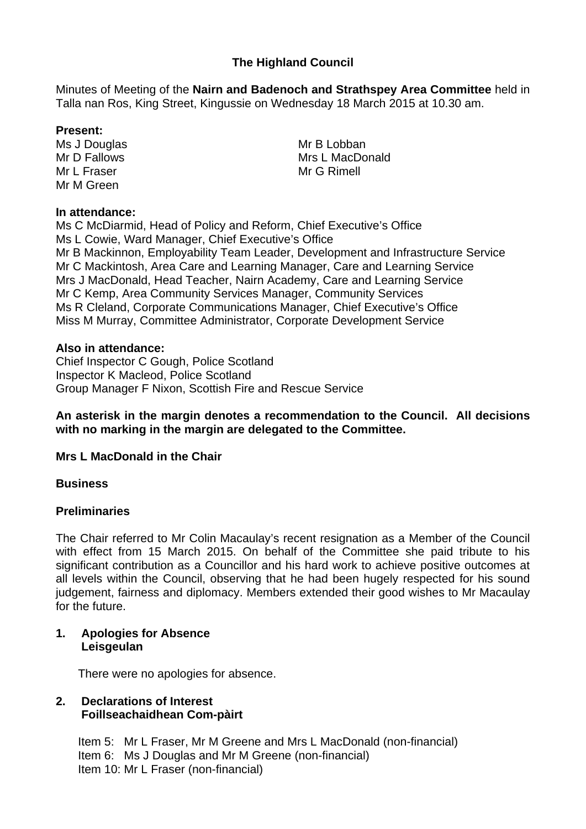# **The Highland Council**

Minutes of Meeting of the **Nairn and Badenoch and Strathspey Area Committee** held in Talla nan Ros, King Street, Kingussie on Wednesday 18 March 2015 at 10.30 am.

### **Present:**

Ms J Douglas Mr D Fallows Mr L Fraser Mr M Green

#### **In attendance:**

Ms C McDiarmid, Head of Policy and Reform, Chief Executive's Office Ms L Cowie, Ward Manager, Chief Executive's Office Mr B Mackinnon, Employability Team Leader, Development and Infrastructure Service Mr C Mackintosh, Area Care and Learning Manager, Care and Learning Service Mrs J MacDonald, Head Teacher, Nairn Academy, Care and Learning Service Mr C Kemp, Area Community Services Manager, Community Services Ms R Cleland, Corporate Communications Manager, Chief Executive's Office Miss M Murray, Committee Administrator, Corporate Development Service

#### **Also in attendance:**

Chief Inspector C Gough, Police Scotland Inspector K Macleod, Police Scotland Group Manager F Nixon, Scottish Fire and Rescue Service

#### **An asterisk in the margin denotes a recommendation to the Council. All decisions with no marking in the margin are delegated to the Committee.**

## **Mrs L MacDonald in the Chair**

#### **Business**

## **Preliminaries**

The Chair referred to Mr Colin Macaulay's recent resignation as a Member of the Council with effect from 15 March 2015. On behalf of the Committee she paid tribute to his significant contribution as a Councillor and his hard work to achieve positive outcomes at all levels within the Council, observing that he had been hugely respected for his sound judgement, fairness and diplomacy. Members extended their good wishes to Mr Macaulay for the future.

## **1. Apologies for Absence Leisgeulan**

There were no apologies for absence.

## **2. Declarations of Interest Foillseachaidhean Com-pàirt**

 Item 5: Mr L Fraser, Mr M Greene and Mrs L MacDonald (non-financial) Item 6: Ms J Douglas and Mr M Greene (non-financial) Item 10: Mr L Fraser (non-financial)

Mr B Lobban Mrs L MacDonald Mr G Rimell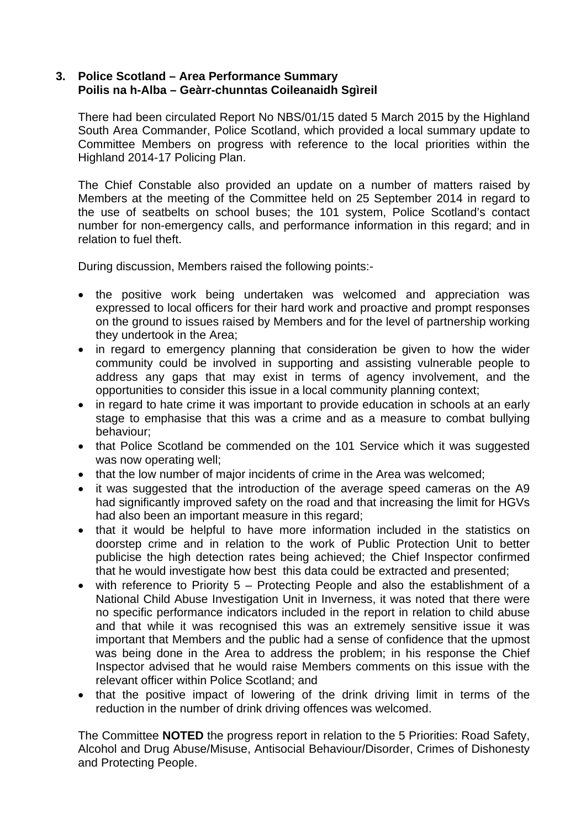### **3. Police Scotland – Area Performance Summary Poilis na h-Alba – Geàrr-chunntas Coileanaidh Sgìreil**

There had been circulated Report No NBS/01/15 dated 5 March 2015 by the Highland South Area Commander, Police Scotland, which provided a local summary update to Committee Members on progress with reference to the local priorities within the Highland 2014-17 Policing Plan.

The Chief Constable also provided an update on a number of matters raised by Members at the meeting of the Committee held on 25 September 2014 in regard to the use of seatbelts on school buses; the 101 system, Police Scotland's contact number for non-emergency calls, and performance information in this regard; and in relation to fuel theft.

During discussion, Members raised the following points:-

- the positive work being undertaken was welcomed and appreciation was expressed to local officers for their hard work and proactive and prompt responses on the ground to issues raised by Members and for the level of partnership working they undertook in the Area;
- in regard to emergency planning that consideration be given to how the wider community could be involved in supporting and assisting vulnerable people to address any gaps that may exist in terms of agency involvement, and the opportunities to consider this issue in a local community planning context;
- in regard to hate crime it was important to provide education in schools at an early stage to emphasise that this was a crime and as a measure to combat bullying behaviour;
- that Police Scotland be commended on the 101 Service which it was suggested was now operating well;
- that the low number of major incidents of crime in the Area was welcomed;
- it was suggested that the introduction of the average speed cameras on the A9 had significantly improved safety on the road and that increasing the limit for HGVs had also been an important measure in this regard;
- that it would be helpful to have more information included in the statistics on doorstep crime and in relation to the work of Public Protection Unit to better publicise the high detection rates being achieved; the Chief Inspector confirmed that he would investigate how best this data could be extracted and presented;
- with reference to Priority 5 Protecting People and also the establishment of a National Child Abuse Investigation Unit in Inverness, it was noted that there were no specific performance indicators included in the report in relation to child abuse and that while it was recognised this was an extremely sensitive issue it was important that Members and the public had a sense of confidence that the upmost was being done in the Area to address the problem; in his response the Chief Inspector advised that he would raise Members comments on this issue with the relevant officer within Police Scotland; and
- that the positive impact of lowering of the drink driving limit in terms of the reduction in the number of drink driving offences was welcomed.

The Committee **NOTED** the progress report in relation to the 5 Priorities: Road Safety, Alcohol and Drug Abuse/Misuse, Antisocial Behaviour/Disorder, Crimes of Dishonesty and Protecting People.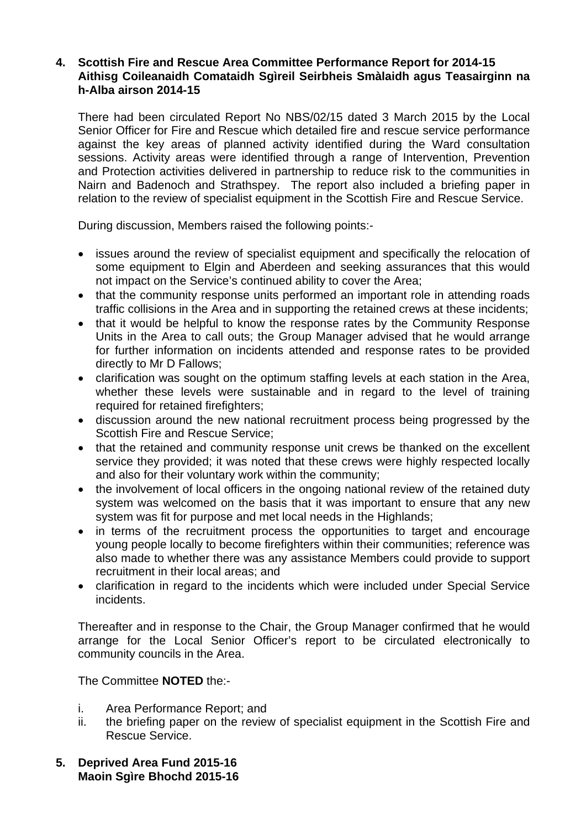#### **4. Scottish Fire and Rescue Area Committee Performance Report for 2014-15 Aithisg Coileanaidh Comataidh Sgìreil Seirbheis Smàlaidh agus Teasairginn na h-Alba airson 2014-15**

There had been circulated Report No NBS/02/15 dated 3 March 2015 by the Local Senior Officer for Fire and Rescue which detailed fire and rescue service performance against the key areas of planned activity identified during the Ward consultation sessions. Activity areas were identified through a range of Intervention, Prevention and Protection activities delivered in partnership to reduce risk to the communities in Nairn and Badenoch and Strathspey. The report also included a briefing paper in relation to the review of specialist equipment in the Scottish Fire and Rescue Service.

During discussion, Members raised the following points:-

- issues around the review of specialist equipment and specifically the relocation of some equipment to Elgin and Aberdeen and seeking assurances that this would not impact on the Service's continued ability to cover the Area;
- that the community response units performed an important role in attending roads traffic collisions in the Area and in supporting the retained crews at these incidents;
- that it would be helpful to know the response rates by the Community Response Units in the Area to call outs; the Group Manager advised that he would arrange for further information on incidents attended and response rates to be provided directly to Mr D Fallows;
- clarification was sought on the optimum staffing levels at each station in the Area, whether these levels were sustainable and in regard to the level of training required for retained firefighters;
- discussion around the new national recruitment process being progressed by the Scottish Fire and Rescue Service;
- that the retained and community response unit crews be thanked on the excellent service they provided; it was noted that these crews were highly respected locally and also for their voluntary work within the community;
- the involvement of local officers in the ongoing national review of the retained duty system was welcomed on the basis that it was important to ensure that any new system was fit for purpose and met local needs in the Highlands;
- in terms of the recruitment process the opportunities to target and encourage young people locally to become firefighters within their communities; reference was also made to whether there was any assistance Members could provide to support recruitment in their local areas; and
- clarification in regard to the incidents which were included under Special Service incidents.

Thereafter and in response to the Chair, the Group Manager confirmed that he would arrange for the Local Senior Officer's report to be circulated electronically to community councils in the Area.

The Committee **NOTED** the:-

- i. Area Performance Report; and
- ii. the briefing paper on the review of specialist equipment in the Scottish Fire and Rescue Service.
- **5. Deprived Area Fund 2015-16 Maoin Sgìre Bhochd 2015-16**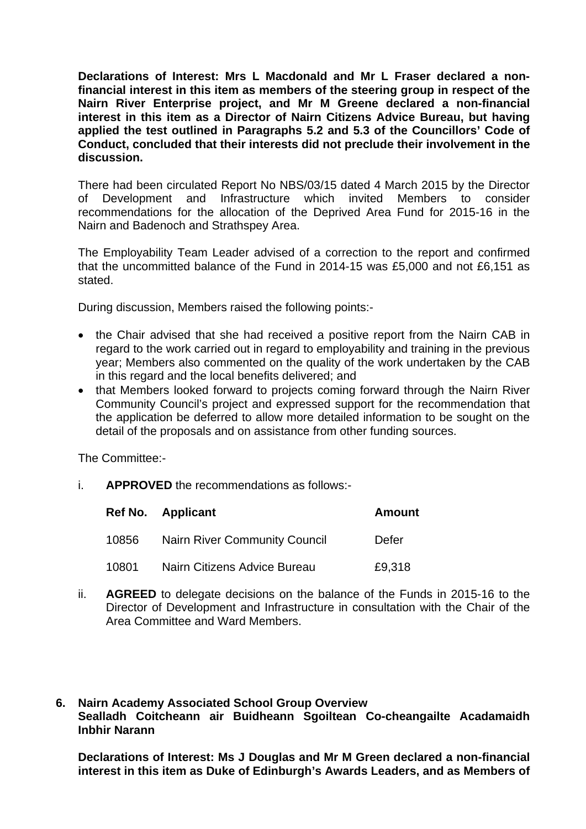**Declarations of Interest: Mrs L Macdonald and Mr L Fraser declared a nonfinancial interest in this item as members of the steering group in respect of the Nairn River Enterprise project, and Mr M Greene declared a non-financial interest in this item as a Director of Nairn Citizens Advice Bureau, but having applied the test outlined in Paragraphs 5.2 and 5.3 of the Councillors' Code of Conduct, concluded that their interests did not preclude their involvement in the discussion.** 

There had been circulated Report No NBS/03/15 dated 4 March 2015 by the Director of Development and Infrastructure which invited Members to consider recommendations for the allocation of the Deprived Area Fund for 2015-16 in the Nairn and Badenoch and Strathspey Area.

The Employability Team Leader advised of a correction to the report and confirmed that the uncommitted balance of the Fund in 2014-15 was £5,000 and not £6,151 as stated.

During discussion, Members raised the following points:-

- the Chair advised that she had received a positive report from the Nairn CAB in regard to the work carried out in regard to employability and training in the previous year; Members also commented on the quality of the work undertaken by the CAB in this regard and the local benefits delivered; and
- that Members looked forward to projects coming forward through the Nairn River Community Council's project and expressed support for the recommendation that the application be deferred to allow more detailed information to be sought on the detail of the proposals and on assistance from other funding sources.

The Committee:-

i. **APPROVED** the recommendations as follows:-

|       | Ref No. Applicant                    | <b>Amount</b> |
|-------|--------------------------------------|---------------|
| 10856 | <b>Nairn River Community Council</b> | Defer         |
| 10801 | Nairn Citizens Advice Bureau         | £9,318        |

- ii. **AGREED** to delegate decisions on the balance of the Funds in 2015-16 to the Director of Development and Infrastructure in consultation with the Chair of the Area Committee and Ward Members.
- **6. Nairn Academy Associated School Group Overview Sealladh Coitcheann air Buidheann Sgoiltean Co-cheangailte Acadamaidh Inbhir Narann**

**Declarations of Interest: Ms J Douglas and Mr M Green declared a non-financial interest in this item as Duke of Edinburgh's Awards Leaders, and as Members of**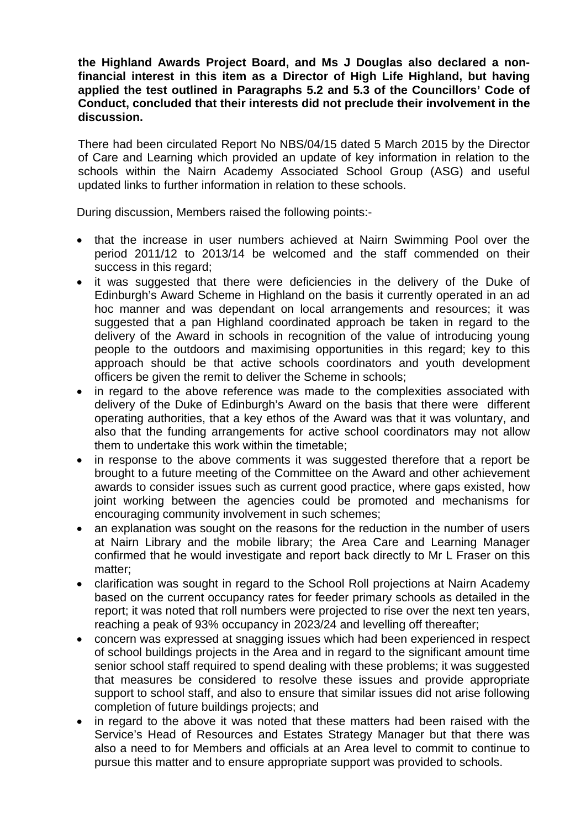**the Highland Awards Project Board, and Ms J Douglas also declared a nonfinancial interest in this item as a Director of High Life Highland, but having applied the test outlined in Paragraphs 5.2 and 5.3 of the Councillors' Code of Conduct, concluded that their interests did not preclude their involvement in the discussion.** 

There had been circulated Report No NBS/04/15 dated 5 March 2015 by the Director of Care and Learning which provided an update of key information in relation to the schools within the Nairn Academy Associated School Group (ASG) and useful updated links to further information in relation to these schools.

During discussion, Members raised the following points:-

- that the increase in user numbers achieved at Nairn Swimming Pool over the period 2011/12 to 2013/14 be welcomed and the staff commended on their success in this regard;
- it was suggested that there were deficiencies in the delivery of the Duke of Edinburgh's Award Scheme in Highland on the basis it currently operated in an ad hoc manner and was dependant on local arrangements and resources; it was suggested that a pan Highland coordinated approach be taken in regard to the delivery of the Award in schools in recognition of the value of introducing young people to the outdoors and maximising opportunities in this regard; key to this approach should be that active schools coordinators and youth development officers be given the remit to deliver the Scheme in schools;
- in regard to the above reference was made to the complexities associated with delivery of the Duke of Edinburgh's Award on the basis that there were different operating authorities, that a key ethos of the Award was that it was voluntary, and also that the funding arrangements for active school coordinators may not allow them to undertake this work within the timetable;
- in response to the above comments it was suggested therefore that a report be brought to a future meeting of the Committee on the Award and other achievement awards to consider issues such as current good practice, where gaps existed, how joint working between the agencies could be promoted and mechanisms for encouraging community involvement in such schemes;
- an explanation was sought on the reasons for the reduction in the number of users at Nairn Library and the mobile library; the Area Care and Learning Manager confirmed that he would investigate and report back directly to Mr L Fraser on this matter;
- clarification was sought in regard to the School Roll projections at Nairn Academy based on the current occupancy rates for feeder primary schools as detailed in the report; it was noted that roll numbers were projected to rise over the next ten years, reaching a peak of 93% occupancy in 2023/24 and levelling off thereafter;
- concern was expressed at snagging issues which had been experienced in respect of school buildings projects in the Area and in regard to the significant amount time senior school staff required to spend dealing with these problems; it was suggested that measures be considered to resolve these issues and provide appropriate support to school staff, and also to ensure that similar issues did not arise following completion of future buildings projects; and
- in regard to the above it was noted that these matters had been raised with the Service's Head of Resources and Estates Strategy Manager but that there was also a need to for Members and officials at an Area level to commit to continue to pursue this matter and to ensure appropriate support was provided to schools.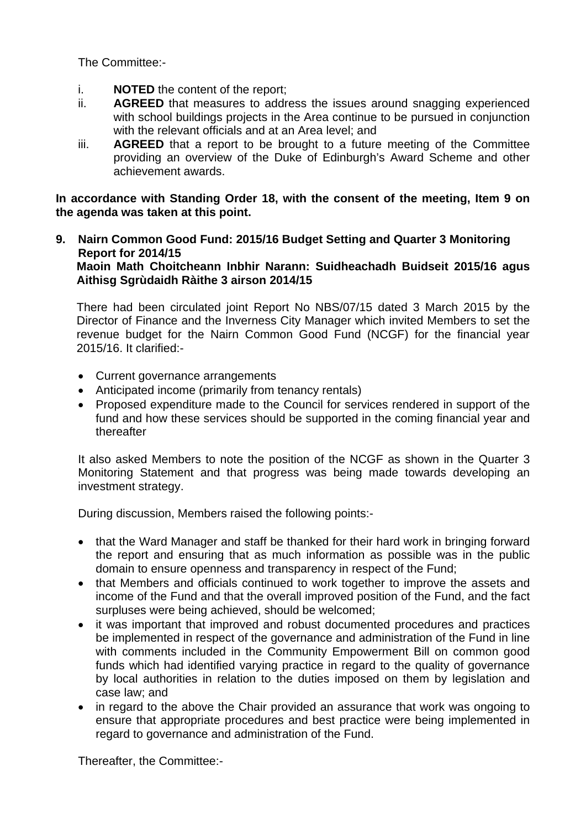The Committee:-

- i. **NOTED** the content of the report;
- ii. **AGREED** that measures to address the issues around snagging experienced with school buildings projects in the Area continue to be pursued in conjunction with the relevant officials and at an Area level; and
- iii. **AGREED** that a report to be brought to a future meeting of the Committee providing an overview of the Duke of Edinburgh's Award Scheme and other achievement awards.

**In accordance with Standing Order 18, with the consent of the meeting, Item 9 on the agenda was taken at this point.** 

**9. Nairn Common Good Fund: 2015/16 Budget Setting and Quarter 3 Monitoring Report for 2014/15 Maoin Math Choitcheann Inbhir Narann: Suidheachadh Buidseit 2015/16 agus Aithisg Sgrùdaidh Ràithe 3 airson 2014/15** 

There had been circulated joint Report No NBS/07/15 dated 3 March 2015 by the Director of Finance and the Inverness City Manager which invited Members to set the revenue budget for the Nairn Common Good Fund (NCGF) for the financial year 2015/16. It clarified:-

- Current governance arrangements
- Anticipated income (primarily from tenancy rentals)
- Proposed expenditure made to the Council for services rendered in support of the fund and how these services should be supported in the coming financial year and thereafter

It also asked Members to note the position of the NCGF as shown in the Quarter 3 Monitoring Statement and that progress was being made towards developing an investment strategy.

During discussion, Members raised the following points:-

- that the Ward Manager and staff be thanked for their hard work in bringing forward the report and ensuring that as much information as possible was in the public domain to ensure openness and transparency in respect of the Fund;
- that Members and officials continued to work together to improve the assets and income of the Fund and that the overall improved position of the Fund, and the fact surpluses were being achieved, should be welcomed;
- it was important that improved and robust documented procedures and practices be implemented in respect of the governance and administration of the Fund in line with comments included in the Community Empowerment Bill on common good funds which had identified varying practice in regard to the quality of governance by local authorities in relation to the duties imposed on them by legislation and case law; and
- in regard to the above the Chair provided an assurance that work was ongoing to ensure that appropriate procedures and best practice were being implemented in regard to governance and administration of the Fund.

Thereafter, the Committee:-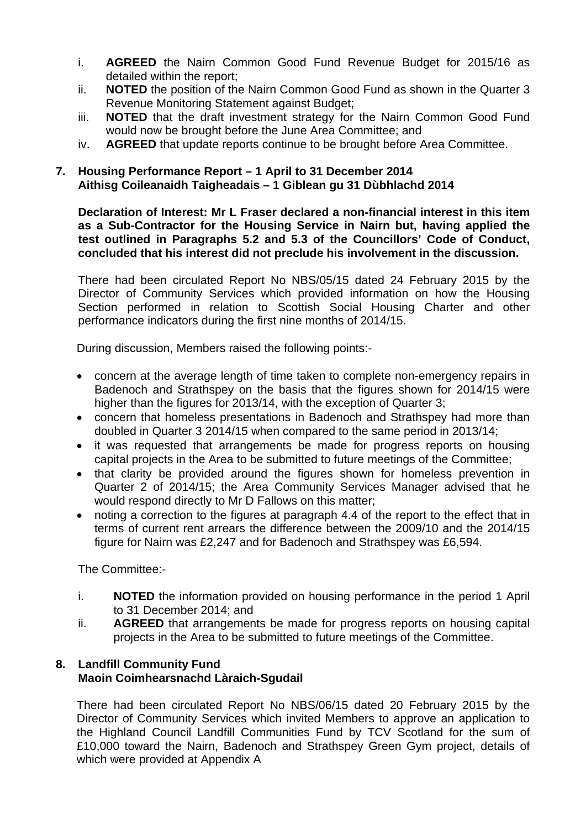- i. **AGREED** the Nairn Common Good Fund Revenue Budget for 2015/16 as detailed within the report;
- ii. **NOTED** the position of the Nairn Common Good Fund as shown in the Quarter 3 Revenue Monitoring Statement against Budget;
- iii. **NOTED** that the draft investment strategy for the Nairn Common Good Fund would now be brought before the June Area Committee; and
- iv. **AGREED** that update reports continue to be brought before Area Committee.

# **7. Housing Performance Report – 1 April to 31 December 2014 Aithisg Coileanaidh Taigheadais – 1 Giblean gu 31 Dùbhlachd 2014**

**Declaration of Interest: Mr L Fraser declared a non-financial interest in this item as a Sub-Contractor for the Housing Service in Nairn but, having applied the test outlined in Paragraphs 5.2 and 5.3 of the Councillors' Code of Conduct, concluded that his interest did not preclude his involvement in the discussion.** 

There had been circulated Report No NBS/05/15 dated 24 February 2015 by the Director of Community Services which provided information on how the Housing Section performed in relation to Scottish Social Housing Charter and other performance indicators during the first nine months of 2014/15.

During discussion, Members raised the following points:-

- concern at the average length of time taken to complete non-emergency repairs in Badenoch and Strathspey on the basis that the figures shown for 2014/15 were higher than the figures for 2013/14, with the exception of Quarter 3;
- concern that homeless presentations in Badenoch and Strathspey had more than doubled in Quarter 3 2014/15 when compared to the same period in 2013/14;
- it was requested that arrangements be made for progress reports on housing capital projects in the Area to be submitted to future meetings of the Committee;
- that clarity be provided around the figures shown for homeless prevention in Quarter 2 of 2014/15; the Area Community Services Manager advised that he would respond directly to Mr D Fallows on this matter;
- noting a correction to the figures at paragraph 4.4 of the report to the effect that in terms of current rent arrears the difference between the 2009/10 and the 2014/15 figure for Nairn was £2,247 and for Badenoch and Strathspey was £6,594.

The Committee:-

- i. **NOTED** the information provided on housing performance in the period 1 April to 31 December 2014; and
- ii. **AGREED** that arrangements be made for progress reports on housing capital projects in the Area to be submitted to future meetings of the Committee.

# **8. Landfill Community Fund Maoin Coimhearsnachd Làraich-Sgudail**

There had been circulated Report No NBS/06/15 dated 20 February 2015 by the Director of Community Services which invited Members to approve an application to the Highland Council Landfill Communities Fund by TCV Scotland for the sum of £10,000 toward the Nairn, Badenoch and Strathspey Green Gym project, details of which were provided at Appendix A